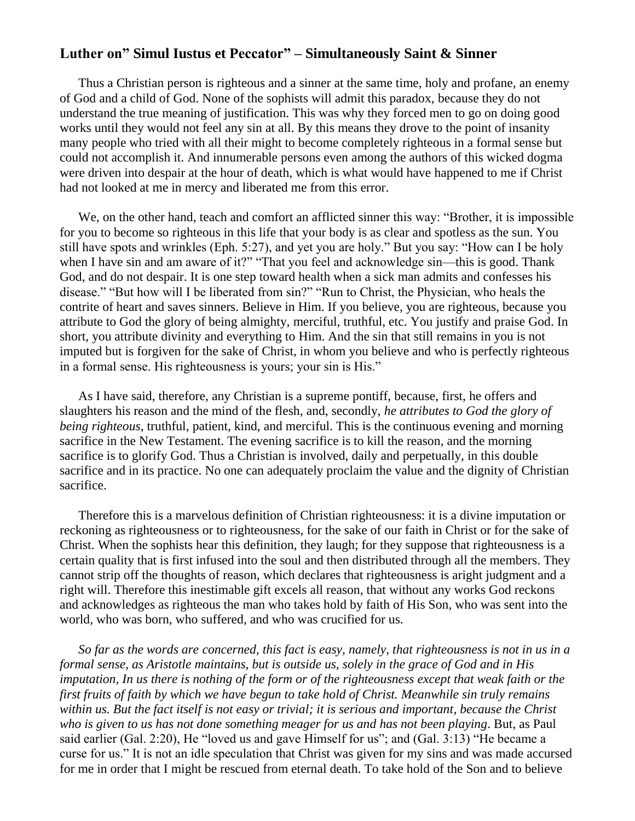## **Luther on" Simul Iustus et Peccator" – Simultaneously Saint & Sinner**

Thus a Christian person is righteous and a sinner at the same time, holy and profane, an enemy of God and a child of God. None of the sophists will admit this paradox, because they do not understand the true meaning of justification. This was why they forced men to go on doing good works until they would not feel any sin at all. By this means they drove to the point of insanity many people who tried with all their might to become completely righteous in a formal sense but could not accomplish it. And innumerable persons even among the authors of this wicked dogma were driven into despair at the hour of death, which is what would have happened to me if Christ had not looked at me in mercy and liberated me from this error.

We, on the other hand, teach and comfort an afflicted sinner this way: "Brother, it is impossible for you to become so righteous in this life that your body is as clear and spotless as the sun. You still have spots and wrinkles (Eph. 5:27), and yet you are holy." But you say: "How can I be holy when I have sin and am aware of it?" "That you feel and acknowledge sin—this is good. Thank God, and do not despair. It is one step toward health when a sick man admits and confesses his disease." "But how will I be liberated from sin?" "Run to Christ, the Physician, who heals the contrite of heart and saves sinners. Believe in Him. If you believe, you are righteous, because you attribute to God the glory of being almighty, merciful, truthful, etc. You justify and praise God. In short, you attribute divinity and everything to Him. And the sin that still remains in you is not imputed but is forgiven for the sake of Christ, in whom you believe and who is perfectly righteous in a formal sense. His righteousness is yours; your sin is His."

As I have said, therefore, any Christian is a supreme pontiff, because, first, he offers and slaughters his reason and the mind of the flesh, and, secondly, *he attributes to God the glory of being righteous*, truthful, patient, kind, and merciful. This is the continuous evening and morning sacrifice in the New Testament. The evening sacrifice is to kill the reason, and the morning sacrifice is to glorify God. Thus a Christian is involved, daily and perpetually, in this double sacrifice and in its practice. No one can adequately proclaim the value and the dignity of Christian sacrifice.

Therefore this is a marvelous definition of Christian righteousness: it is a divine imputation or reckoning as righteousness or to righteousness, for the sake of our faith in Christ or for the sake of Christ. When the sophists hear this definition, they laugh; for they suppose that righteousness is a certain quality that is first infused into the soul and then distributed through all the members. They cannot strip off the thoughts of reason, which declares that righteousness is aright judgment and a right will. Therefore this inestimable gift excels all reason, that without any works God reckons and acknowledges as righteous the man who takes hold by faith of His Son, who was sent into the world, who was born, who suffered, and who was crucified for us.

*So far as the words are concerned, this fact is easy, namely, that righteousness is not in us in a formal sense, as Aristotle maintains, but is outside us, solely in the grace of God and in His imputation, In us there is nothing of the form or of the righteousness except that weak faith or the first fruits of faith by which we have begun to take hold of Christ. Meanwhile sin truly remains within us. But the fact itself is not easy or trivial; it is serious and important, because the Christ who is given to us has not done something meager for us and has not been playing*. But, as Paul said earlier (Gal. 2:20), He "loved us and gave Himself for us"; and (Gal. 3:13) "He became a curse for us." It is not an idle speculation that Christ was given for my sins and was made accursed for me in order that I might be rescued from eternal death. To take hold of the Son and to believe